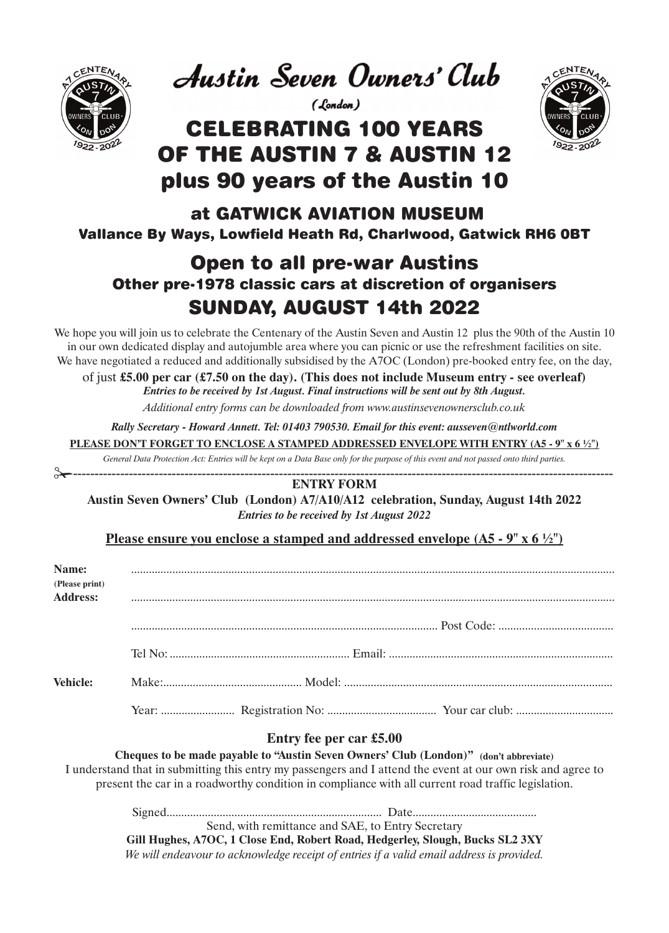

**Austin Seven Owners' Club** 

(London)

# CELEBRATING 100 YEARS OF THE AUSTIN 7 & AUSTIN 12 plus 90 years of the Austin 10



### at GATWICK AVIATION MUSEUM Vallance By Ways, Lowfield Heath Rd, Charlwood, Gatwick RH6 0BT

# Open to all pre-war Austins Other pre-1978 classic cars at discretion of organisers SUNDAY, AUGUST 14th 2022

We hope you will join us to celebrate the Centenary of the Austin Seven and Austin 12 plus the 90th of the Austin 10 in our own dedicated display and autojumble area where you can picnic or use the refreshment facilities on site. We have negotiated a reduced and additionally subsidised by the A7OC (London) pre-booked entry fee, on the day,

of just **£5.00 per car (£7.50 on the day). (This does not include Museum entry - see overleaf)** *Entries to be received by 1st August. Final instructions will be sent out by 8th August.*

*Additional entry forms can be downloaded from www.austinsevenownersclub.co.uk*

*Rally Secretary - Howard Annett. Tel: 01403 790530. Email for this event: ausseven@ntlworld.com*

**PLEASE DON'T FORGET TO ENCLOSE A STAMPED ADDRESSED ENVELOPE WITH ENTRY (A5 - 9" x 6 ½")**

*General Data Protection Act: Entries will be kept on a Data Base only for the purpose of this event and not passed onto third parties.* ✁------------------------------------------------------------------------------------------------------------------------------

#### **ENTRY FORM**

**Austin Seven Owners' Club (London) A7/A10/A12 celebration, Sunday, August 14th 2022**  *Entries to be received by 1st August 2022*

#### **Please ensure you enclose a stamped and addressed envelope (A5 - 9" x 6 ½")**

| Name:<br>(Please print)<br><b>Address:</b> |  |  |
|--------------------------------------------|--|--|
|                                            |  |  |
|                                            |  |  |
| <b>Vehicle:</b>                            |  |  |
|                                            |  |  |

#### **Entry fee per car £5.00**

**Cheques to be made payable to "Austin Seven Owners' Club (London)" (don't abbreviate)**  I understand that in submitting this entry my passengers and I attend the event at our own risk and agree to present the car in a roadworthy condition in compliance with all current road traffic legislation.

Signed......................................................................... Date..........................................

Send, with remittance and SAE, to Entry Secretary

**Gill Hughes, A7OC, 1 Close End, Robert Road, Hedgerley, Slough, Bucks SL2 3XY**  *We will endeavour to acknowledge receipt of entries if a valid email address is provided.*